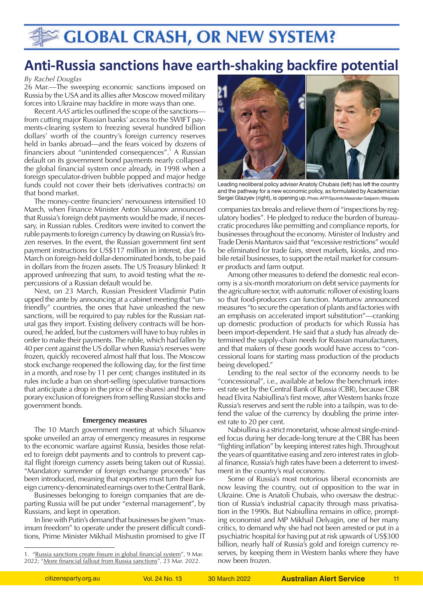# **GLOBAL CRASH, OR NEW SYSTEM?**

## **Anti-Russia sanctions have earth-shaking backfire potential**

#### *By Rachel Douglas*

26 Mar.—The sweeping economic sanctions imposed on Russia by the USA and its allies after Moscow moved military forces into Ukraine may backfire in more ways than one.

Recent *AAS* articles outlined the scope of the sanctions from cutting major Russian banks' access to the SWIFT payments-clearing system to freezing several hundred billion dollars' worth of the country's foreign currency reserves held in banks abroad—and the fears voiced by dozens of financiers about "unintended consequences".<sup>1</sup> A Russian default on its government bond payments nearly collapsed the global financial system once already, in 1998 when a foreign speculator-driven bubble popped and major hedge funds could not cover their bets (derivatives contracts) on that bond market.

The money-centre financiers' nervousness intensified 10 March, when Finance Minister Anton Siluanov announced that Russia's foreign debt payments would be made, if necessary, in Russian rubles. Creditors were invited to convert the ruble payments to foreign currency by drawing on Russia's frozen reserves. In the event, the Russian government first sent payment instructions for US\$117 million in interest, due 16 March on foreign-held dollar-denominated bonds, to be paid in dollars from the frozen assets. The US Treasury blinked: It approved unfreezing that sum, to avoid testing what the repercussions of a Russian default would be.

Next, on 23 March, Russian President Vladimir Putin upped the ante by announcing at a cabinet meeting that "unfriendly" countries, the ones that have unleashed the new sanctions, will be required to pay rubles for the Russian natural gas they import. Existing delivery contracts will be honoured, he added, but the customers will have to buy rubles in order to make their payments. The ruble, which had fallen by 40 per cent against the US dollar when Russia's reserves were frozen, quickly recovered almost half that loss. The Moscow stock exchange reopened the following day, for the first time in a month, and rose by 11 per cent; changes instituted in its rules include a ban on short-selling (speculative transactions that anticipate a drop in the price of the shares) and the temporary exclusion of foreigners from selling Russian stocks and government bonds.

### **Emergency measures**

The 10 March government meeting at which Siluanov spoke unveiled an array of emergency measures in response to the economic warfare against Russia, besides those related to foreign debt payments and to controls to prevent capital flight (foreign currency assets being taken out of Russia). "Mandatory surrender of foreign exchange proceeds" has been introduced, meaning that exporters must turn their foreign currency-denominated earnings over to the Central Bank.

Businesses belonging to foreign companies that are departing Russia will be put under "external management", by Russians, and kept in operation.

In line with Putin's demand that businesses be given "maximum freedom" to operate under the present difficult conditions, Prime Minister Mikhail Mishustin promised to give IT



Leading neoliberal policy adviser Anatoly Chubais (left) has left the country and the pathway for a new economic policy, as formulated by Academician Sergei Glazyev (right), is opening up. Photo: AFP/Sputnik/Alexander Galperin; Wikipedia

companies tax breaks and relieve them of "inspections by regulatory bodies". He pledged to reduce the burden of bureaucratic procedures like permitting and compliance reports, for businesses throughout the economy. Minister of Industry and Trade Denis Manturov said that "excessive restrictions" would be eliminated for trade fairs, street markets, kiosks, and mobile retail businesses, to support the retail market for consumer products and farm output.

Among other measures to defend the domestic real economy is a six-month moratorium on debt service payments for the agriculture sector, with automatic rollover of existing loans so that food-producers can function. Manturov announced measures "to secure the operation of plants and factories with an emphasis on accelerated import substitution"—cranking up domestic production of products for which Russia has been import-dependent. He said that a study has already determined the supply-chain needs for Russian manufacturers, and that makers of these goods would have access to "concessional loans for starting mass production of the products being developed."

Lending to the real sector of the economy needs to be "concessional", i.e., available at below the benchmark interest rate set by the Central Bank of Russia (CBR), because CBR head Elvira Nabiullina's first move, after Western banks froze Russia's reserves and sent the ruble into a tailspin, was to defend the value of the currency by doubling the prime interest rate to 20 per cent.

Nabiullina is a strict monetarist, whose almost single-minded focus during her decade-long tenure at the CBR has been "fighting inflation" by keeping interest rates high. Throughout the years of quantitative easing and zero interest rates in global finance, Russia's high rates have been a deterrent to investment in the country's real economy.

Some of Russia's most notorious liberal economists are now leaving the country, out of opposition to the war in Ukraine. One is Anatoli Chubais, who oversaw the destruction of Russia's industrial capacity through mass privatisation in the 1990s. But Nabiullina remains in office, prompting economist and MP Mikhail Delyagin, one of her many critics, to demand why she had not been arrested or put in a psychiatric hospital for having put at risk upwards of US\$300 billion, nearly half of Russia's gold and foreign currency reserves, by keeping them in Western banks where they have now been frozen.

<sup>1. &</sup>quot;[Russia sanctions create fissure in global financial system"](https://citizensparty.org.au/sites/default/files/2022-03/russia-sanctions-fissure.pdf), 9 Mar. 2022; ["More financial fallout from Russia sanctions"](https://citizensparty.org.au/sites/default/files/2022-03/financial-fallout-russia-sanctions.pdf), 23 Mar. 2022.